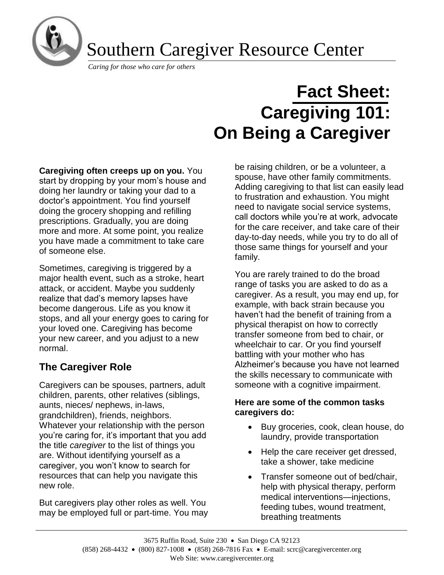

Southern Caregiver Resource Center

*Caring for those who care for others*

# **Fact Sheet: Caregiving 101: On Being a Caregiver**

**Caregiving often creeps up on you.** You start by dropping by your mom's house and doing her laundry or taking your dad to a doctor's appointment. You find yourself doing the grocery shopping and refilling prescriptions. Gradually, you are doing more and more. At some point, you realize you have made a commitment to take care of someone else.

Sometimes, caregiving is triggered by a major health event, such as a stroke, heart attack, or accident. Maybe you suddenly realize that dad's memory lapses have become dangerous. Life as you know it stops, and all your energy goes to caring for your loved one. Caregiving has become your new career, and you adjust to a new normal.

## **The Caregiver Role**

Caregivers can be spouses, partners, adult children, parents, other relatives (siblings, aunts, nieces/ nephews, in-laws, grandchildren), friends, neighbors. Whatever your relationship with the person you're caring for, it's important that you add the title *caregiver* to the list of things you are. Without identifying yourself as a caregiver, you won't know to search for resources that can help you navigate this new role.

But caregivers play other roles as well. You may be employed full or part-time. You may be raising children, or be a volunteer, a spouse, have other family commitments. Adding caregiving to that list can easily lead to frustration and exhaustion. You might need to navigate social service systems, call doctors while you're at work, advocate for the care receiver, and take care of their day-to-day needs, while you try to do all of those same things for yourself and your family.

You are rarely trained to do the broad range of tasks you are asked to do as a caregiver. As a result, you may end up, for example, with back strain because you haven't had the benefit of training from a physical therapist on how to correctly transfer someone from bed to chair, or wheelchair to car. Or you find yourself battling with your mother who has Alzheimer's because you have not learned the skills necessary to communicate with someone with a cognitive impairment.

#### **Here are some of the common tasks caregivers do:**

- Buy groceries, cook, clean house, do laundry, provide transportation
- Help the care receiver get dressed, take a shower, take medicine
- Transfer someone out of bed/chair, help with physical therapy, perform medical interventions—injections, feeding tubes, wound treatment, breathing treatments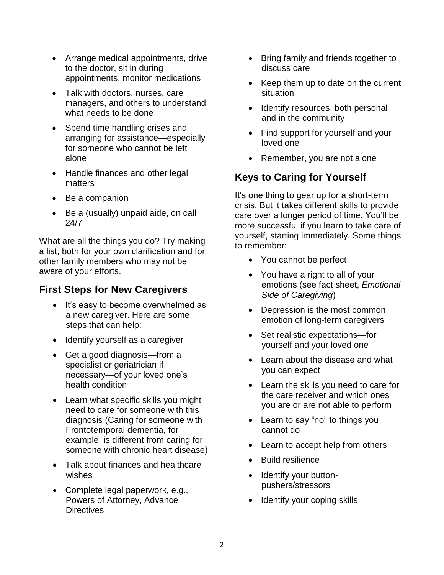- Arrange medical appointments, drive to the doctor, sit in during appointments, monitor medications
- Talk with doctors, nurses, care managers, and others to understand what needs to be done
- Spend time handling crises and arranging for assistance—especially for someone who cannot be left alone
- Handle finances and other legal matters
- Be a companion
- Be a (usually) unpaid aide, on call 24/7

What are all the things you do? Try making a list, both for your own clarification and for other family members who may not be aware of your efforts.

## **First Steps for New Caregivers**

- It's easy to become overwhelmed as a new caregiver. Here are some steps that can help:
- Identify yourself as a caregiver
- Get a good diagnosis—from a specialist or geriatrician if necessary—of your loved one's health condition
- Learn what specific skills you might need to care for someone with this diagnosis (Caring for someone with Frontotemporal dementia, for example, is different from caring for someone with chronic heart disease)
- Talk about finances and healthcare wishes
- Complete legal paperwork, e.g., Powers of Attorney, Advance **Directives**
- Bring family and friends together to discuss care
- Keep them up to date on the current situation
- Identify resources, both personal and in the community
- Find support for yourself and your loved one
- Remember, you are not alone

# **Keys to Caring for Yourself**

It's one thing to gear up for a short-term crisis. But it takes different skills to provide care over a longer period of time. You'll be more successful if you learn to take care of yourself, starting immediately. Some things to remember:

- You cannot be perfect
- You have a right to all of your emotions (see fact sheet, *Emotional Side of Caregiving*)
- Depression is the most common emotion of long-term caregivers
- Set realistic expectations—for yourself and your loved one
- Learn about the disease and what you can expect
- Learn the skills you need to care for the care receiver and which ones you are or are not able to perform
- Learn to say "no" to things you cannot do
- Learn to accept help from others
- Build resilience
- Identify your buttonpushers/stressors
- Identify your coping skills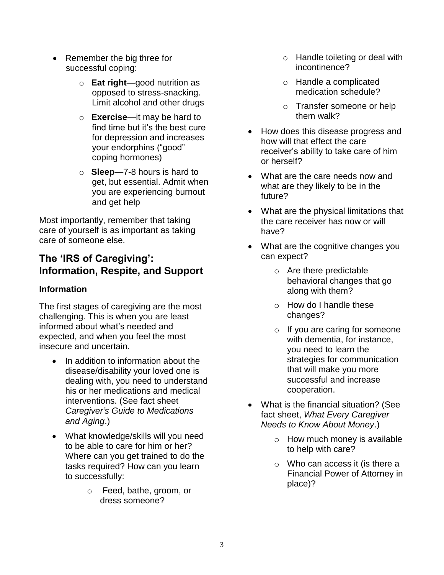- Remember the big three for successful coping:
	- o **Eat right**—good nutrition as opposed to stress-snacking. Limit alcohol and other drugs
	- o **Exercise**—it may be hard to find time but it's the best cure for depression and increases your endorphins ("good" coping hormones)
	- o **Sleep**—7-8 hours is hard to get, but essential. Admit when you are experiencing burnout and get help

Most importantly, remember that taking care of yourself is as important as taking care of someone else.

## **The 'IRS of Caregiving': Information, Respite, and Support**

## **Information**

The first stages of caregiving are the most challenging. This is when you are least informed about what's needed and expected, and when you feel the most insecure and uncertain.

- In addition to information about the disease/disability your loved one is dealing with, you need to understand his or her medications and medical interventions. (See fact sheet *Caregiver's Guide to Medications and Aging*.)
- What knowledge/skills will you need to be able to care for him or her? Where can you get trained to do the tasks required? How can you learn to successfully:
	- o Feed, bathe, groom, or dress someone?
- o Handle toileting or deal with incontinence?
- o Handle a complicated medication schedule?
- o Transfer someone or help them walk?
- How does this disease progress and how will that effect the care receiver's ability to take care of him or herself?
- What are the care needs now and what are they likely to be in the future?
- What are the physical limitations that the care receiver has now or will have?
- What are the cognitive changes you can expect?
	- o Are there predictable behavioral changes that go along with them?
	- o How do I handle these changes?
	- $\circ$  If you are caring for someone with dementia, for instance, you need to learn the strategies for communication that will make you more successful and increase cooperation.
- What is the financial situation? (See fact sheet, *What Every Caregiver Needs to Know About Money*.)
	- o How much money is available to help with care?
	- o Who can access it (is there a Financial Power of Attorney in place)?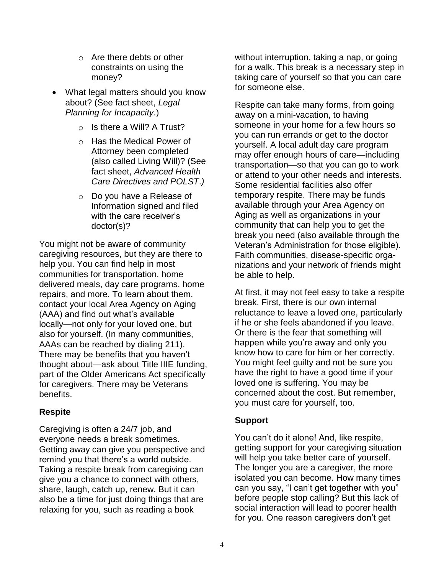- o Are there debts or other constraints on using the money?
- What legal matters should you know about? (See fact sheet, *Legal Planning for Incapacity*.)
	- $\circ$  Is there a Will? A Trust?
	- o Has the Medical Power of Attorney been completed (also called Living Will)? (See fact sheet, *Advanced Health Care Directives and POLST*.*)*
	- o Do you have a Release of Information signed and filed with the care receiver's doctor(s)?

You might not be aware of community caregiving resources, but they are there to help you. You can find help in most communities for transportation, home delivered meals, day care programs, home repairs, and more. To learn about them, contact your local Area Agency on Aging (AAA) and find out what's available locally—not only for your loved one, but also for yourself. (In many communities, AAAs can be reached by dialing 211). There may be benefits that you haven't thought about—ask about Title IIIE funding, part of the Older Americans Act specifically for caregivers. There may be Veterans benefits.

#### **Respite**

Caregiving is often a 24/7 job, and everyone needs a break sometimes. Getting away can give you perspective and remind you that there's a world outside. Taking a respite break from caregiving can give you a chance to connect with others, share, laugh, catch up, renew. But it can also be a time for just doing things that are relaxing for you, such as reading a book

without interruption, taking a nap, or going for a walk. This break is a necessary step in taking care of yourself so that you can care for someone else.

Respite can take many forms, from going away on a mini-vacation, to having someone in your home for a few hours so you can run errands or get to the doctor yourself. A local adult day care program may offer enough hours of care—including transportation—so that you can go to work or attend to your other needs and interests. Some residential facilities also offer temporary respite. There may be funds available through your Area Agency on Aging as well as organizations in your community that can help you to get the break you need (also available through the Veteran's Administration for those eligible). Faith communities, disease-specific organizations and your network of friends might be able to help.

At first, it may not feel easy to take a respite break. First, there is our own internal reluctance to leave a loved one, particularly if he or she feels abandoned if you leave. Or there is the fear that something will happen while you're away and only you know how to care for him or her correctly. You might feel guilty and not be sure you have the right to have a good time if your loved one is suffering. You may be concerned about the cost. But remember, you must care for yourself, too.

### **Support**

You can't do it alone! And, like respite, getting support for your caregiving situation will help you take better care of yourself. The longer you are a caregiver, the more isolated you can become. How many times can you say, "I can't get together with you" before people stop calling? But this lack of social interaction will lead to poorer health for you. One reason caregivers don't get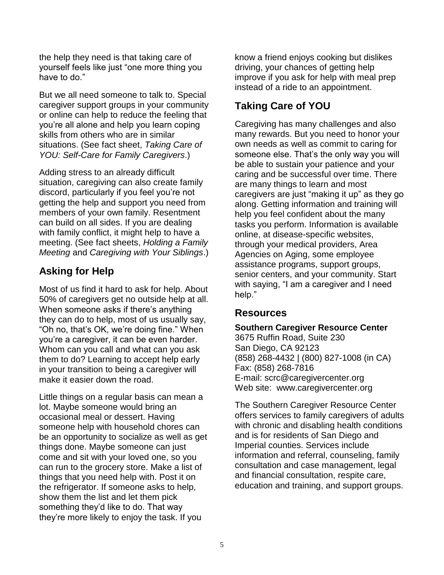the help they need is that taking care of yourself feels like just "one more thing you have to do."

But we all need someone to talk to. Special caregiver support groups in your community or online can help to reduce the feeling that you're all alone and help you learn coping skills from others who are in similar situations. (See fact sheet, *Taking Care of YOU: Self-Care for Family Caregivers*.)

Adding stress to an already difficult situation, caregiving can also create family discord, particularly if you feel you're not getting the help and support you need from members of your own family. Resentment can build on all sides. If you are dealing with family conflict, it might help to have a meeting. (See fact sheets, *Holding a Family Meeting* and *Caregiving with Your Siblings*.)

## **Asking for Help**

Most of us find it hard to ask for help. About 50% of caregivers get no outside help at all. When someone asks if there's anything they can do to help, most of us usually say, "Oh no, that's OK, we're doing fine." When you're a caregiver, it can be even harder. Whom can you call and what can you ask them to do? Learning to accept help early in your transition to being a caregiver will make it easier down the road.

Little things on a regular basis can mean a lot. Maybe someone would bring an occasional meal or dessert. Having someone help with household chores can be an opportunity to socialize as well as get things done. Maybe someone can just come and sit with your loved one, so you can run to the grocery store. Make a list of things that you need help with. Post it on the refrigerator. If someone asks to help, show them the list and let them pick something they'd like to do. That way they're more likely to enjoy the task. If you

know a friend enjoys cooking but dislikes driving, your chances of getting help improve if you ask for help with meal prep instead of a ride to an appointment.

# **Taking Care of YOU**

Caregiving has many challenges and also many rewards. But you need to honor your own needs as well as commit to caring for someone else. That's the only way you will be able to sustain your patience and your caring and be successful over time. There are many things to learn and most caregivers are just "making it up" as they go along. Getting information and training will help you feel confident about the many tasks you perform. Information is available online, at disease-specific websites, through your medical providers, Area Agencies on Aging, some employee assistance programs, support groups, senior centers, and your community. Start with saying, "I am a caregiver and I need help."

## **Resources**

**Southern Caregiver Resource Center** 3675 Ruffin Road, Suite 230 San Diego, CA 92123 (858) 268-4432 | (800) 827-1008 (in CA) Fax: (858) 268-7816 E-mail: [scrc@caregivercenter.org](mailto:scrc@caregivercenter.org) Web site: www.caregivercenter.org

The Southern Caregiver Resource Center offers services to family caregivers of adults with chronic and disabling health conditions and is for residents of San Diego and Imperial counties. Services include information and referral, counseling, family consultation and case management, legal and financial consultation, respite care, education and training, and support groups.